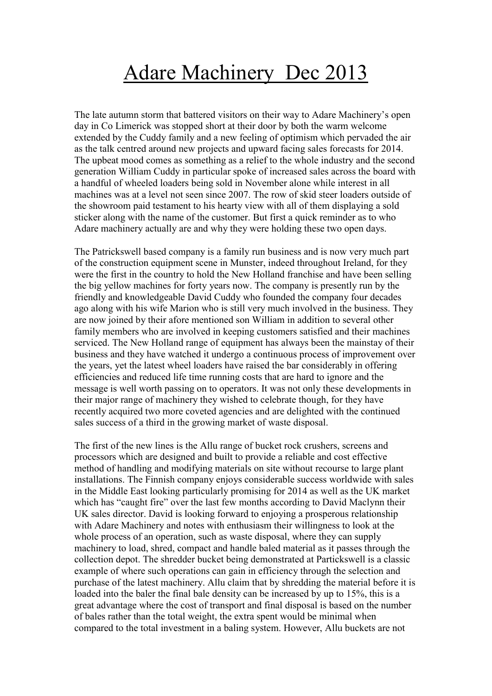## Adare Machinery Dec 2013

The late autumn storm that battered visitors on their way to Adare Machinery's open day in Co Limerick was stopped short at their door by both the warm welcome extended by the Cuddy family and a new feeling of optimism which pervaded the air as the talk centred around new projects and upward facing sales forecasts for 2014. The upbeat mood comes as something as a relief to the whole industry and the second generation William Cuddy in particular spoke of increased sales across the board with a handful of wheeled loaders being sold in November alone while interest in all machines was at a level not seen since 2007. The row of skid steer loaders outside of the showroom paid testament to his hearty view with all of them displaying a sold sticker along with the name of the customer. But first a quick reminder as to who Adare machinery actually are and why they were holding these two open days.

The Patrickswell based company is a family run business and is now very much part of the construction equipment scene in Munster, indeed throughout Ireland, for they were the first in the country to hold the New Holland franchise and have been selling the big yellow machines for forty years now. The company is presently run by the friendly and knowledgeable David Cuddy who founded the company four decades ago along with his wife Marion who is still very much involved in the business. They are now joined by their afore mentioned son William in addition to several other family members who are involved in keeping customers satisfied and their machines serviced. The New Holland range of equipment has always been the mainstay of their business and they have watched it undergo a continuous process of improvement over the years, yet the latest wheel loaders have raised the bar considerably in offering efficiencies and reduced life time running costs that are hard to ignore and the message is well worth passing on to operators. It was not only these developments in their major range of machinery they wished to celebrate though, for they have recently acquired two more coveted agencies and are delighted with the continued sales success of a third in the growing market of waste disposal.

The first of the new lines is the Allu range of bucket rock crushers, screens and processors which are designed and built to provide a reliable and cost effective method of handling and modifying materials on site without recourse to large plant installations. The Finnish company enjoys considerable success worldwide with sales in the Middle East looking particularly promising for 2014 as well as the UK market which has "caught fire" over the last few months according to David Maclynn their UK sales director. David is looking forward to enjoying a prosperous relationship with Adare Machinery and notes with enthusiasm their willingness to look at the whole process of an operation, such as waste disposal, where they can supply machinery to load, shred, compact and handle baled material as it passes through the collection depot. The shredder bucket being demonstrated at Partickswell is a classic example of where such operations can gain in efficiency through the selection and purchase of the latest machinery. Allu claim that by shredding the material before it is loaded into the baler the final bale density can be increased by up to 15%, this is a great advantage where the cost of transport and final disposal is based on the number of bales rather than the total weight, the extra spent would be minimal when compared to the total investment in a baling system. However, Allu buckets are not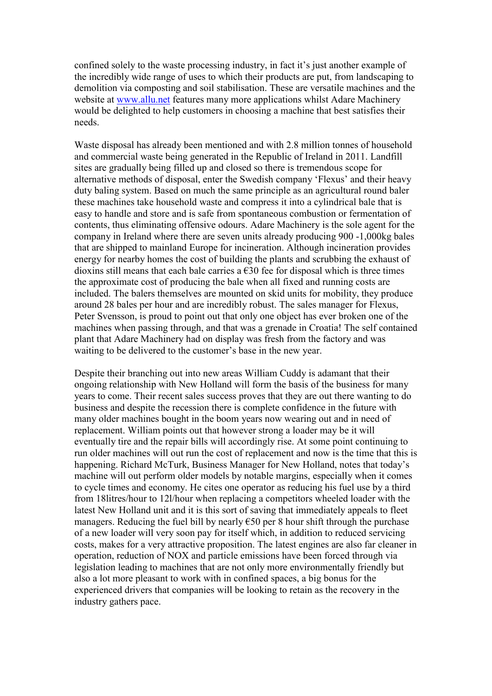confined solely to the waste processing industry, in fact it's just another example of the incredibly wide range of uses to which their products are put, from landscaping to demolition via composting and soil stabilisation. These are versatile machines and the website at www.allu.net features many more applications whilst Adare Machinery would be delighted to help customers in choosing a machine that best satisfies their needs.

Waste disposal has already been mentioned and with 2.8 million tonnes of household and commercial waste being generated in the Republic of Ireland in 2011. Landfill sites are gradually being filled up and closed so there is tremendous scope for alternative methods of disposal, enter the Swedish company 'Flexus' and their heavy duty baling system. Based on much the same principle as an agricultural round baler these machines take household waste and compress it into a cylindrical bale that is easy to handle and store and is safe from spontaneous combustion or fermentation of contents, thus eliminating offensive odours. Adare Machinery is the sole agent for the company in Ireland where there are seven units already producing 900 -1,000kg bales that are shipped to mainland Europe for incineration. Although incineration provides energy for nearby homes the cost of building the plants and scrubbing the exhaust of dioxins still means that each bale carries a  $\epsilon$ 30 fee for disposal which is three times the approximate cost of producing the bale when all fixed and running costs are included. The balers themselves are mounted on skid units for mobility, they produce around 28 bales per hour and are incredibly robust. The sales manager for Flexus, Peter Svensson, is proud to point out that only one object has ever broken one of the machines when passing through, and that was a grenade in Croatia! The self contained plant that Adare Machinery had on display was fresh from the factory and was waiting to be delivered to the customer's base in the new year.

Despite their branching out into new areas William Cuddy is adamant that their ongoing relationship with New Holland will form the basis of the business for many years to come. Their recent sales success proves that they are out there wanting to do business and despite the recession there is complete confidence in the future with many older machines bought in the boom years now wearing out and in need of replacement. William points out that however strong a loader may be it will eventually tire and the repair bills will accordingly rise. At some point continuing to run older machines will out run the cost of replacement and now is the time that this is happening. Richard McTurk, Business Manager for New Holland, notes that today's machine will out perform older models by notable margins, especially when it comes to cycle times and economy. He cites one operator as reducing his fuel use by a third from 18litres/hour to 12l/hour when replacing a competitors wheeled loader with the latest New Holland unit and it is this sort of saving that immediately appeals to fleet managers. Reducing the fuel bill by nearly  $\epsilon$ 50 per 8 hour shift through the purchase of a new loader will very soon pay for itself which, in addition to reduced servicing costs, makes for a very attractive proposition. The latest engines are also far cleaner in operation, reduction of NOX and particle emissions have been forced through via legislation leading to machines that are not only more environmentally friendly but also a lot more pleasant to work with in confined spaces, a big bonus for the experienced drivers that companies will be looking to retain as the recovery in the industry gathers pace.